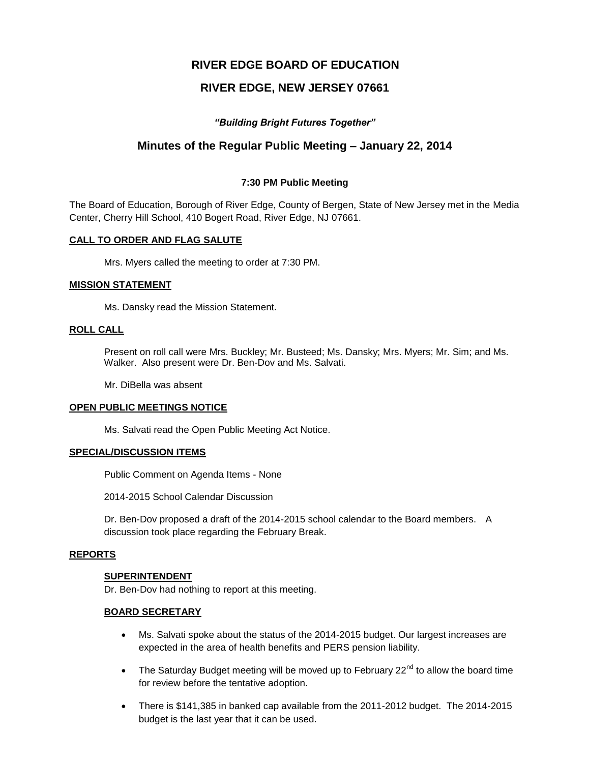# **RIVER EDGE BOARD OF EDUCATION**

# **RIVER EDGE, NEW JERSEY 07661**

# *"Building Bright Futures Together"*

# **Minutes of the Regular Public Meeting – January 22, 2014**

## **7:30 PM Public Meeting**

The Board of Education, Borough of River Edge, County of Bergen, State of New Jersey met in the Media Center, Cherry Hill School, 410 Bogert Road, River Edge, NJ 07661.

### **CALL TO ORDER AND FLAG SALUTE**

Mrs. Myers called the meeting to order at 7:30 PM.

### **MISSION STATEMENT**

Ms. Dansky read the Mission Statement.

# **ROLL CALL**

Present on roll call were Mrs. Buckley; Mr. Busteed; Ms. Dansky; Mrs. Myers; Mr. Sim; and Ms. Walker. Also present were Dr. Ben-Dov and Ms. Salvati.

Mr. DiBella was absent

### **OPEN PUBLIC MEETINGS NOTICE**

Ms. Salvati read the Open Public Meeting Act Notice.

### **SPECIAL/DISCUSSION ITEMS**

Public Comment on Agenda Items - None

2014-2015 School Calendar Discussion

Dr. Ben-Dov proposed a draft of the 2014-2015 school calendar to the Board members. A discussion took place regarding the February Break.

### **REPORTS**

### **SUPERINTENDENT**

Dr. Ben-Dov had nothing to report at this meeting.

### **BOARD SECRETARY**

- Ms. Salvati spoke about the status of the 2014-2015 budget. Our largest increases are expected in the area of health benefits and PERS pension liability.
- The Saturday Budget meeting will be moved up to February  $22^{nd}$  to allow the board time for review before the tentative adoption.
- There is \$141,385 in banked cap available from the 2011-2012 budget. The 2014-2015 budget is the last year that it can be used.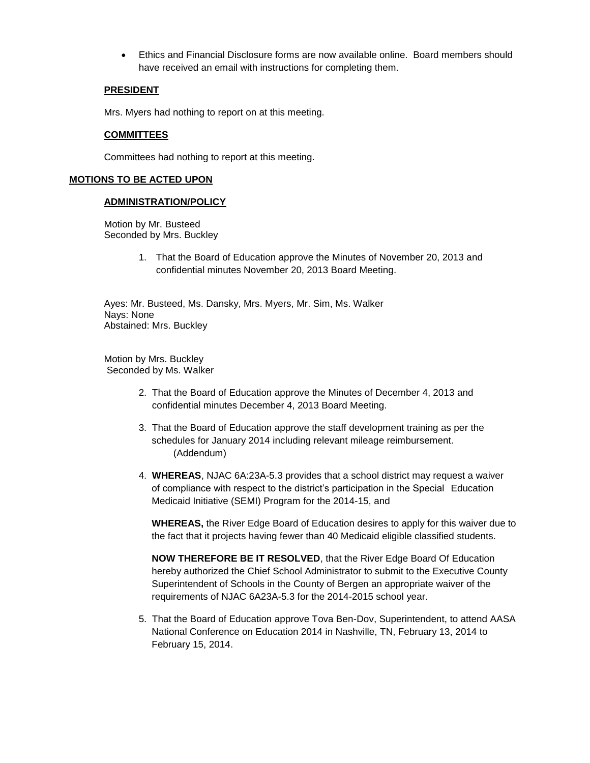Ethics and Financial Disclosure forms are now available online. Board members should have received an email with instructions for completing them.

# **PRESIDENT**

Mrs. Myers had nothing to report on at this meeting.

# **COMMITTEES**

Committees had nothing to report at this meeting.

## **MOTIONS TO BE ACTED UPON**

### **ADMINISTRATION/POLICY**

Motion by Mr. Busteed Seconded by Mrs. Buckley

> 1. That the Board of Education approve the Minutes of November 20, 2013 and confidential minutes November 20, 2013 Board Meeting.

Ayes: Mr. Busteed, Ms. Dansky, Mrs. Myers, Mr. Sim, Ms. Walker Nays: None Abstained: Mrs. Buckley

Motion by Mrs. Buckley Seconded by Ms. Walker

- 2. That the Board of Education approve the Minutes of December 4, 2013 and confidential minutes December 4, 2013 Board Meeting.
- 3. That the Board of Education approve the staff development training as per the schedules for January 2014 including relevant mileage reimbursement. (Addendum)
- 4. **WHEREAS**, NJAC 6A:23A-5.3 provides that a school district may request a waiver of compliance with respect to the district's participation in the Special Education Medicaid Initiative (SEMI) Program for the 2014-15, and

**WHEREAS,** the River Edge Board of Education desires to apply for this waiver due to the fact that it projects having fewer than 40 Medicaid eligible classified students.

**NOW THEREFORE BE IT RESOLVED**, that the River Edge Board Of Education hereby authorized the Chief School Administrator to submit to the Executive County Superintendent of Schools in the County of Bergen an appropriate waiver of the requirements of NJAC 6A23A-5.3 for the 2014-2015 school year.

5. That the Board of Education approve Tova Ben-Dov, Superintendent, to attend AASA National Conference on Education 2014 in Nashville, TN, February 13, 2014 to February 15, 2014.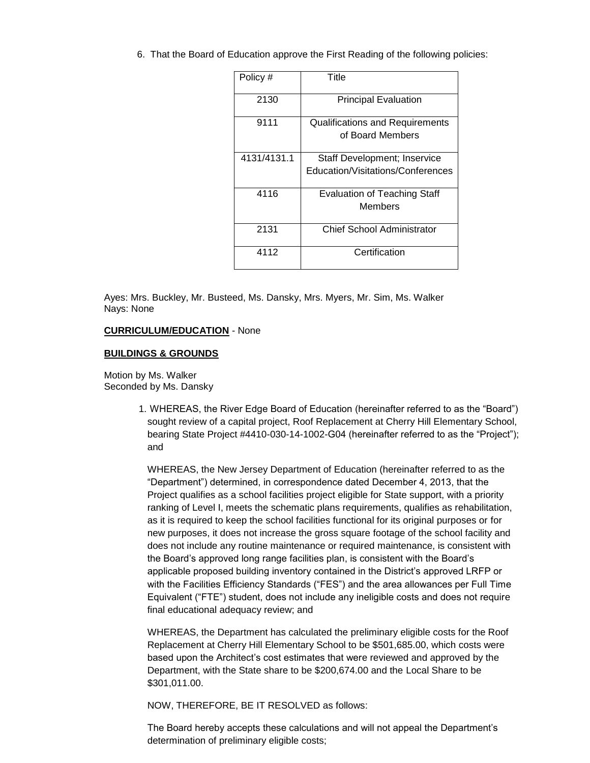6. That the Board of Education approve the First Reading of the following policies:

| Policy #    | Title                                                             |
|-------------|-------------------------------------------------------------------|
| 2130        | <b>Principal Evaluation</b>                                       |
| 9111        | Qualifications and Requirements<br>of Board Members               |
| 4131/4131.1 | Staff Development; Inservice<br>Education/Visitations/Conferences |
| 4116        | <b>Evaluation of Teaching Staff</b><br>Members                    |
| 2131        | Chief School Administrator                                        |
| 4112        | Certification                                                     |

Ayes: Mrs. Buckley, Mr. Busteed, Ms. Dansky, Mrs. Myers, Mr. Sim, Ms. Walker Nays: None

### **CURRICULUM/EDUCATION** - None

### **BUILDINGS & GROUNDS**

Motion by Ms. Walker Seconded by Ms. Dansky

> 1. WHEREAS, the River Edge Board of Education (hereinafter referred to as the "Board") sought review of a capital project, Roof Replacement at Cherry Hill Elementary School, bearing State Project #4410-030-14-1002-G04 (hereinafter referred to as the "Project"); and

WHEREAS, the New Jersey Department of Education (hereinafter referred to as the "Department") determined, in correspondence dated December 4, 2013, that the Project qualifies as a school facilities project eligible for State support, with a priority ranking of Level I, meets the schematic plans requirements, qualifies as rehabilitation, as it is required to keep the school facilities functional for its original purposes or for new purposes, it does not increase the gross square footage of the school facility and does not include any routine maintenance or required maintenance, is consistent with the Board's approved long range facilities plan, is consistent with the Board's applicable proposed building inventory contained in the District's approved LRFP or with the Facilities Efficiency Standards ("FES") and the area allowances per Full Time Equivalent ("FTE") student, does not include any ineligible costs and does not require final educational adequacy review; and

WHEREAS, the Department has calculated the preliminary eligible costs for the Roof Replacement at Cherry Hill Elementary School to be \$501,685.00, which costs were based upon the Architect's cost estimates that were reviewed and approved by the Department, with the State share to be \$200,674.00 and the Local Share to be \$301,011.00.

NOW, THEREFORE, BE IT RESOLVED as follows:

The Board hereby accepts these calculations and will not appeal the Department's determination of preliminary eligible costs;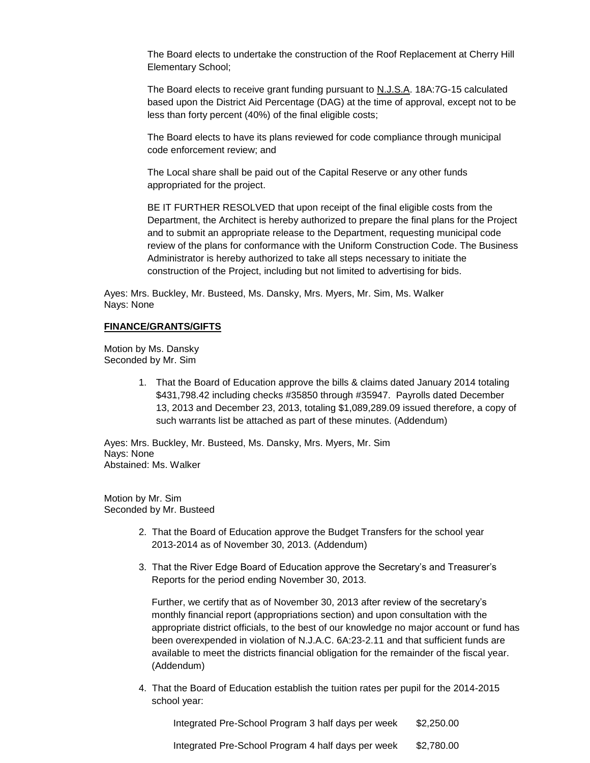The Board elects to undertake the construction of the Roof Replacement at Cherry Hill Elementary School;

The Board elects to receive grant funding pursuant to N.J.S.A. 18A:7G-15 calculated based upon the District Aid Percentage (DAG) at the time of approval, except not to be less than forty percent (40%) of the final eligible costs;

The Board elects to have its plans reviewed for code compliance through municipal code enforcement review; and

The Local share shall be paid out of the Capital Reserve or any other funds appropriated for the project.

BE IT FURTHER RESOLVED that upon receipt of the final eligible costs from the Department, the Architect is hereby authorized to prepare the final plans for the Project and to submit an appropriate release to the Department, requesting municipal code review of the plans for conformance with the Uniform Construction Code. The Business Administrator is hereby authorized to take all steps necessary to initiate the construction of the Project, including but not limited to advertising for bids.

Ayes: Mrs. Buckley, Mr. Busteed, Ms. Dansky, Mrs. Myers, Mr. Sim, Ms. Walker Nays: None

#### **FINANCE/GRANTS/GIFTS**

Motion by Ms. Dansky Seconded by Mr. Sim

> 1. That the Board of Education approve the bills & claims dated January 2014 totaling \$431,798.42 including checks #35850 through #35947. Payrolls dated December 13, 2013 and December 23, 2013, totaling \$1,089,289.09 issued therefore, a copy of such warrants list be attached as part of these minutes. (Addendum)

Ayes: Mrs. Buckley, Mr. Busteed, Ms. Dansky, Mrs. Myers, Mr. Sim Nays: None Abstained: Ms. Walker

Motion by Mr. Sim Seconded by Mr. Busteed

- 2. That the Board of Education approve the Budget Transfers for the school year 2013-2014 as of November 30, 2013. (Addendum)
- 3. That the River Edge Board of Education approve the Secretary's and Treasurer's Reports for the period ending November 30, 2013.

Further, we certify that as of November 30, 2013 after review of the secretary's monthly financial report (appropriations section) and upon consultation with the appropriate district officials, to the best of our knowledge no major account or fund has been overexpended in violation of N.J.A.C. 6A:23-2.11 and that sufficient funds are available to meet the districts financial obligation for the remainder of the fiscal year. (Addendum)

4. That the Board of Education establish the tuition rates per pupil for the 2014-2015 school year:

Integrated Pre-School Program 3 half days per week \$2,250.00

Integrated Pre-School Program 4 half days per week \$2,780.00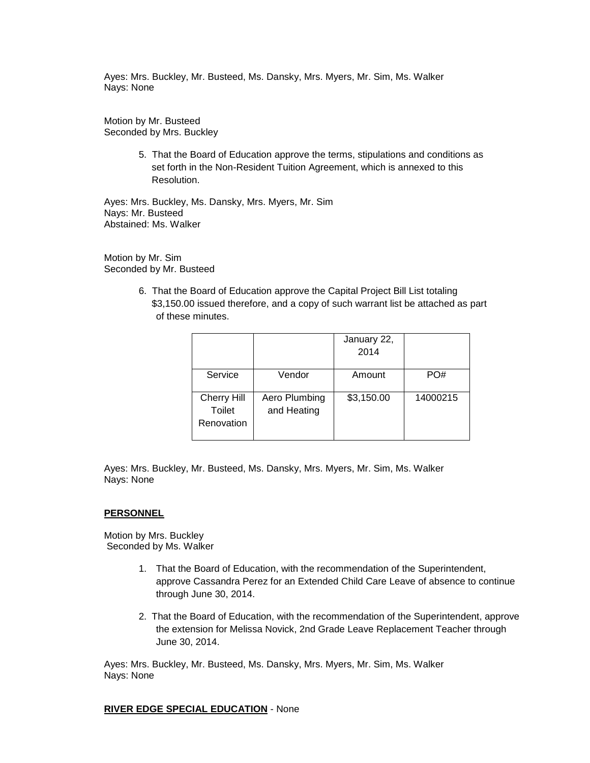Ayes: Mrs. Buckley, Mr. Busteed, Ms. Dansky, Mrs. Myers, Mr. Sim, Ms. Walker Nays: None

Motion by Mr. Busteed Seconded by Mrs. Buckley

> 5. That the Board of Education approve the terms, stipulations and conditions as set forth in the Non-Resident Tuition Agreement, which is annexed to this Resolution.

Ayes: Mrs. Buckley, Ms. Dansky, Mrs. Myers, Mr. Sim Nays: Mr. Busteed Abstained: Ms. Walker

Motion by Mr. Sim Seconded by Mr. Busteed

> 6. That the Board of Education approve the Capital Project Bill List totaling \$3,150.00 issued therefore, and a copy of such warrant list be attached as part of these minutes.

|                                            |                              | January 22,<br>2014 |          |
|--------------------------------------------|------------------------------|---------------------|----------|
| Service                                    | Vendor                       | Amount              | PO#      |
| <b>Cherry Hill</b><br>Toilet<br>Renovation | Aero Plumbing<br>and Heating | \$3,150.00          | 14000215 |

Ayes: Mrs. Buckley, Mr. Busteed, Ms. Dansky, Mrs. Myers, Mr. Sim, Ms. Walker Nays: None

#### **PERSONNEL**

Motion by Mrs. Buckley Seconded by Ms. Walker

- 1. That the Board of Education, with the recommendation of the Superintendent, approve Cassandra Perez for an Extended Child Care Leave of absence to continue through June 30, 2014.
- 2. That the Board of Education, with the recommendation of the Superintendent, approve the extension for Melissa Novick, 2nd Grade Leave Replacement Teacher through June 30, 2014.

Ayes: Mrs. Buckley, Mr. Busteed, Ms. Dansky, Mrs. Myers, Mr. Sim, Ms. Walker Nays: None

**RIVER EDGE SPECIAL EDUCATION** - None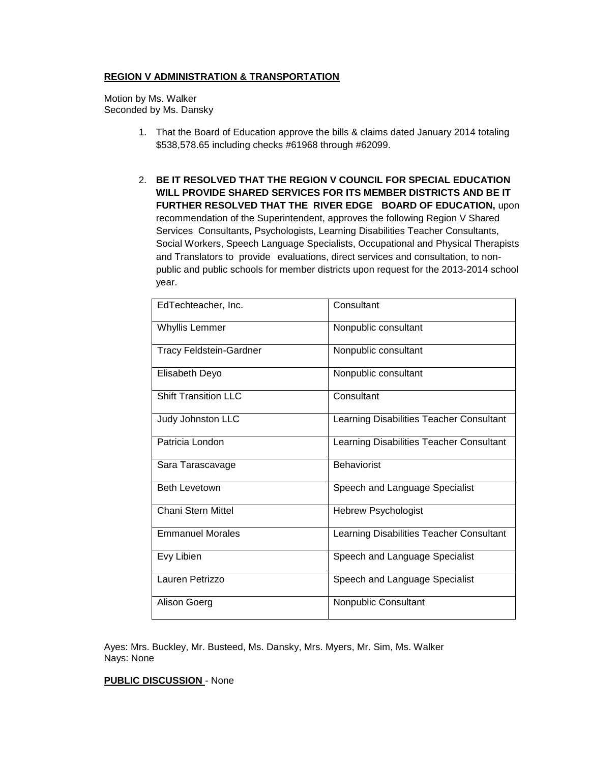## **REGION V ADMINISTRATION & TRANSPORTATION**

Motion by Ms. Walker Seconded by Ms. Dansky

- 1. That the Board of Education approve the bills & claims dated January 2014 totaling \$538,578.65 including checks #61968 through #62099.
- 2. **BE IT RESOLVED THAT THE REGION V COUNCIL FOR SPECIAL EDUCATION WILL PROVIDE SHARED SERVICES FOR ITS MEMBER DISTRICTS AND BE IT FURTHER RESOLVED THAT THE RIVER EDGE BOARD OF EDUCATION,** upon recommendation of the Superintendent, approves the following Region V Shared Services Consultants, Psychologists, Learning Disabilities Teacher Consultants, Social Workers, Speech Language Specialists, Occupational and Physical Therapists and Translators to provide evaluations, direct services and consultation, to nonpublic and public schools for member districts upon request for the 2013-2014 school year.

| EdTechteacher, Inc.            | Consultant                               |
|--------------------------------|------------------------------------------|
| <b>Whyllis Lemmer</b>          | Nonpublic consultant                     |
| <b>Tracy Feldstein-Gardner</b> | Nonpublic consultant                     |
| Elisabeth Deyo                 | Nonpublic consultant                     |
| <b>Shift Transition LLC</b>    | Consultant                               |
| Judy Johnston LLC              | Learning Disabilities Teacher Consultant |
| Patricia London                | Learning Disabilities Teacher Consultant |
|                                |                                          |
| Sara Tarascavage               | <b>Behaviorist</b>                       |
| <b>Beth Levetown</b>           | Speech and Language Specialist           |
| Chani Stern Mittel             | <b>Hebrew Psychologist</b>               |
| <b>Emmanuel Morales</b>        | Learning Disabilities Teacher Consultant |
| Evy Libien                     | Speech and Language Specialist           |
| Lauren Petrizzo                | Speech and Language Specialist           |

Ayes: Mrs. Buckley, Mr. Busteed, Ms. Dansky, Mrs. Myers, Mr. Sim, Ms. Walker Nays: None

### **PUBLIC DISCUSSION** - None